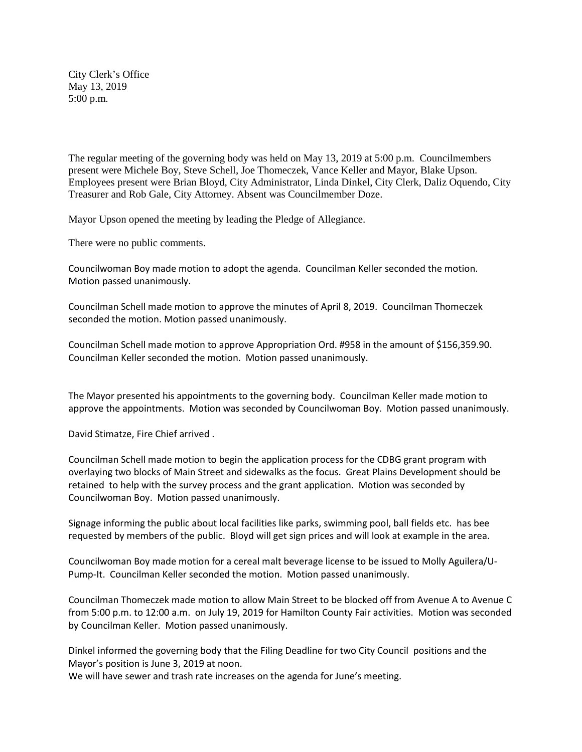City Clerk's Office May 13, 2019 5:00 p.m.

The regular meeting of the governing body was held on May 13, 2019 at 5:00 p.m. Councilmembers present were Michele Boy, Steve Schell, Joe Thomeczek, Vance Keller and Mayor, Blake Upson. Employees present were Brian Bloyd, City Administrator, Linda Dinkel, City Clerk, Daliz Oquendo, City Treasurer and Rob Gale, City Attorney. Absent was Councilmember Doze.

Mayor Upson opened the meeting by leading the Pledge of Allegiance.

There were no public comments.

Councilwoman Boy made motion to adopt the agenda. Councilman Keller seconded the motion. Motion passed unanimously.

Councilman Schell made motion to approve the minutes of April 8, 2019. Councilman Thomeczek seconded the motion. Motion passed unanimously.

Councilman Schell made motion to approve Appropriation Ord. #958 in the amount of \$156,359.90. Councilman Keller seconded the motion. Motion passed unanimously.

The Mayor presented his appointments to the governing body. Councilman Keller made motion to approve the appointments. Motion was seconded by Councilwoman Boy. Motion passed unanimously.

David Stimatze, Fire Chief arrived .

Councilman Schell made motion to begin the application process for the CDBG grant program with overlaying two blocks of Main Street and sidewalks as the focus. Great Plains Development should be retained to help with the survey process and the grant application. Motion was seconded by Councilwoman Boy. Motion passed unanimously.

Signage informing the public about local facilities like parks, swimming pool, ball fields etc. has bee requested by members of the public. Bloyd will get sign prices and will look at example in the area.

Councilwoman Boy made motion for a cereal malt beverage license to be issued to Molly Aguilera/U-Pump-It. Councilman Keller seconded the motion. Motion passed unanimously.

Councilman Thomeczek made motion to allow Main Street to be blocked off from Avenue A to Avenue C from 5:00 p.m. to 12:00 a.m. on July 19, 2019 for Hamilton County Fair activities. Motion was seconded by Councilman Keller. Motion passed unanimously.

Dinkel informed the governing body that the Filing Deadline for two City Council positions and the Mayor's position is June 3, 2019 at noon.

We will have sewer and trash rate increases on the agenda for June's meeting.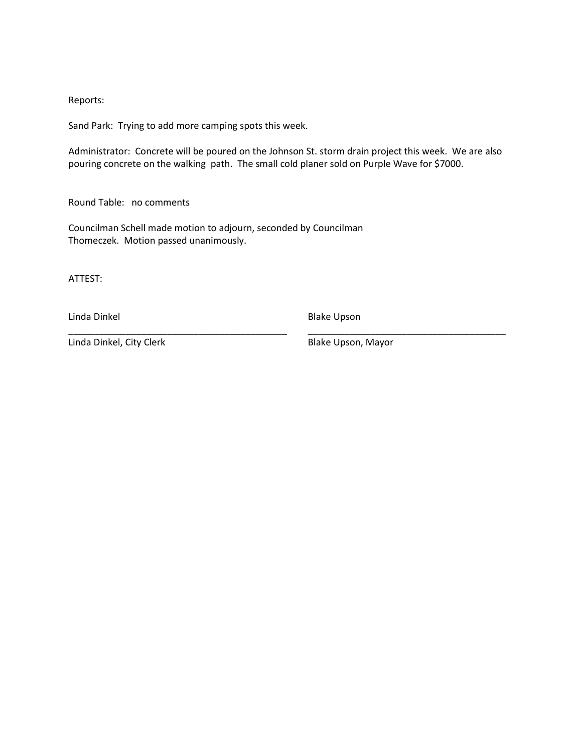## Reports:

Sand Park: Trying to add more camping spots this week.

Administrator: Concrete will be poured on the Johnson St. storm drain project this week. We are also pouring concrete on the walking path. The small cold planer sold on Purple Wave for \$7000.

\_\_\_\_\_\_\_\_\_\_\_\_\_\_\_\_\_\_\_\_\_\_\_\_\_\_\_\_\_\_\_\_\_\_\_\_\_\_\_\_\_\_ \_\_\_\_\_\_\_\_\_\_\_\_\_\_\_\_\_\_\_\_\_\_\_\_\_\_\_\_\_\_\_\_\_\_\_\_\_\_

Round Table: no comments

Councilman Schell made motion to adjourn, seconded by Councilman Thomeczek. Motion passed unanimously.

ATTEST:

Linda Dinkel **Blake Upson** 

Linda Dinkel, City Clerk Blake Upson, Mayor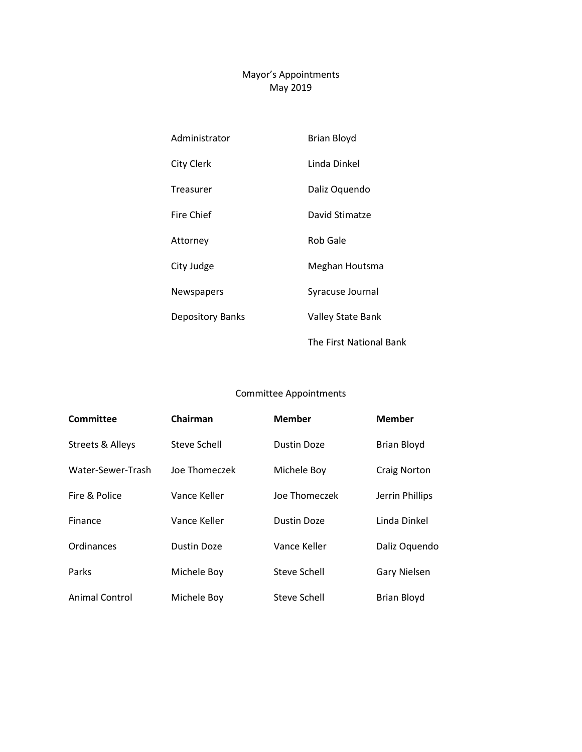## Mayor's Appointments May 2019

| Administrator           | Brian Bloyd              |  |  |
|-------------------------|--------------------------|--|--|
| <b>City Clerk</b>       | Linda Dinkel             |  |  |
| Treasurer               | Daliz Oquendo            |  |  |
| <b>Fire Chief</b>       | David Stimatze           |  |  |
| Attorney                | <b>Rob Gale</b>          |  |  |
| City Judge              | Meghan Houtsma           |  |  |
| Newspapers              | Syracuse Journal         |  |  |
| <b>Depository Banks</b> | <b>Valley State Bank</b> |  |  |
|                         | The First National Bank  |  |  |

## Committee Appointments

| <b>Committee</b>            | Chairman                     | <b>Member</b>      | <b>Member</b>       |
|-----------------------------|------------------------------|--------------------|---------------------|
| <b>Streets &amp; Alleys</b> | Steve Schell                 | Dustin Doze        | <b>Brian Bloyd</b>  |
| Water-Sewer-Trash           | Joe Thomeczek<br>Michele Boy |                    | <b>Craig Norton</b> |
| Fire & Police               | Vance Keller                 | Joe Thomeczek      | Jerrin Phillips     |
| Finance                     | Vance Keller                 | <b>Dustin Doze</b> | Linda Dinkel        |
| Ordinances                  | Dustin Doze                  | Vance Keller       | Daliz Oquendo       |
| Parks                       | Michele Boy                  | Steve Schell       | <b>Gary Nielsen</b> |
| Animal Control              | Michele Boy                  | Steve Schell       | <b>Brian Bloyd</b>  |